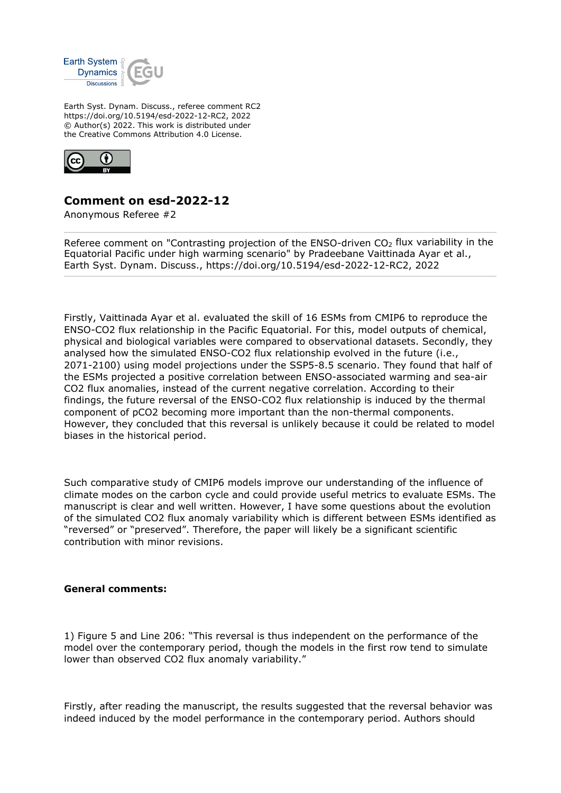

Earth Syst. Dynam. Discuss., referee comment RC2 https://doi.org/10.5194/esd-2022-12-RC2, 2022 © Author(s) 2022. This work is distributed under the Creative Commons Attribution 4.0 License.



## **Comment on esd-2022-12**

Anonymous Referee #2

Referee comment on "Contrasting projection of the ENSO-driven  $CO<sub>2</sub>$  flux variability in the Equatorial Pacific under high warming scenario" by Pradeebane Vaittinada Ayar et al., Earth Syst. Dynam. Discuss., https://doi.org/10.5194/esd-2022-12-RC2, 2022

Firstly, Vaittinada Ayar et al. evaluated the skill of 16 ESMs from CMIP6 to reproduce the ENSO-CO2 flux relationship in the Pacific Equatorial. For this, model outputs of chemical, physical and biological variables were compared to observational datasets. Secondly, they analysed how the simulated ENSO-CO2 flux relationship evolved in the future (i.e., 2071-2100) using model projections under the SSP5-8.5 scenario. They found that half of the ESMs projected a positive correlation between ENSO-associated warming and sea-air CO2 flux anomalies, instead of the current negative correlation. According to their findings, the future reversal of the ENSO-CO2 flux relationship is induced by the thermal component of pCO2 becoming more important than the non-thermal components. However, they concluded that this reversal is unlikely because it could be related to model biases in the historical period.

Such comparative study of CMIP6 models improve our understanding of the influence of climate modes on the carbon cycle and could provide useful metrics to evaluate ESMs. The manuscript is clear and well written. However, I have some questions about the evolution of the simulated CO2 flux anomaly variability which is different between ESMs identified as "reversed" or "preserved". Therefore, the paper will likely be a significant scientific contribution with minor revisions.

## **General comments:**

1) Figure 5 and Line 206: "This reversal is thus independent on the performance of the model over the contemporary period, though the models in the first row tend to simulate lower than observed CO2 flux anomaly variability."

Firstly, after reading the manuscript, the results suggested that the reversal behavior was indeed induced by the model performance in the contemporary period. Authors should